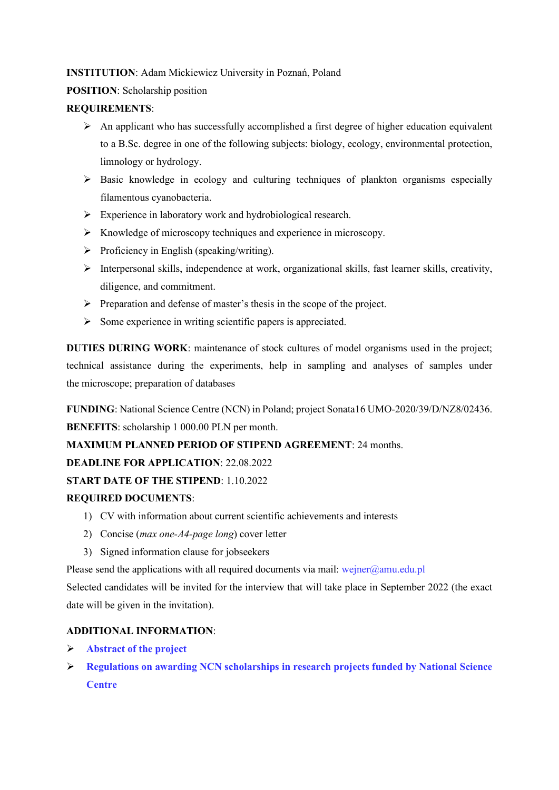## **INSTITUTION**: Adam Mickiewicz University in Poznań, Poland

## **POSITION**: Scholarship position

## **REQUIREMENTS**:

- $\triangleright$  An applicant who has successfully accomplished a first degree of higher education equivalent to a B.Sc. degree in one of the following subjects: biology, ecology, environmental protection, limnology or hydrology.
- $\triangleright$  Basic knowledge in ecology and culturing techniques of plankton organisms especially filamentous cyanobacteria.
- $\triangleright$  Experience in laboratory work and hydrobiological research.
- $\triangleright$  Knowledge of microscopy techniques and experience in microscopy.
- $\triangleright$  Proficiency in English (speaking/writing).
- $\triangleright$  Interpersonal skills, independence at work, organizational skills, fast learner skills, creativity, diligence, and commitment.
- $\triangleright$  Preparation and defense of master's thesis in the scope of the project.
- $\triangleright$  Some experience in writing scientific papers is appreciated.

**DUTIES DURING WORK**: maintenance of stock cultures of model organisms used in the project; technical assistance during the experiments, help in sampling and analyses of samples under the microscope; preparation of databases

**FUNDING**: National Science Centre (NCN) in Poland; project Sonata16 UMO-2020/39/D/NZ8/02436. **BENEFITS**: scholarship 1 000.00 PLN per month.

**MAXIMUM PLANNED PERIOD OF STIPEND AGREEMENT**: 24 months.

**DEADLINE FOR APPLICATION**: 22.08.2022

**START DATE OF THE STIPEND**: 1.10.2022

## **REQUIRED DOCUMENTS**:

- 1) CV with information about current scientific achievements and interests
- 2) Concise (*max one-A4-page long*) cover letter
- 3) Signed information clause for jobseekers

Please send the applications with all required documents via mail: wejner $@amu.edu.pl$ 

Selected candidates will be invited for the interview that will take place in September 2022 (the exact date will be given in the invitation).

# **ADDITIONAL INFORMATION**:

- **[Abstract of the project](https://projekty.ncn.gov.pl/en/index.php?projekt_id=497466)**
- **[Regulations on awarding NCN scholarships in research projects funded by National Science](https://ncn.gov.pl/dioscuri/dioscuri3/ncn_scholarships_regulations_25_2019.pdf)  [Centre](https://ncn.gov.pl/dioscuri/dioscuri3/ncn_scholarships_regulations_25_2019.pdf)**